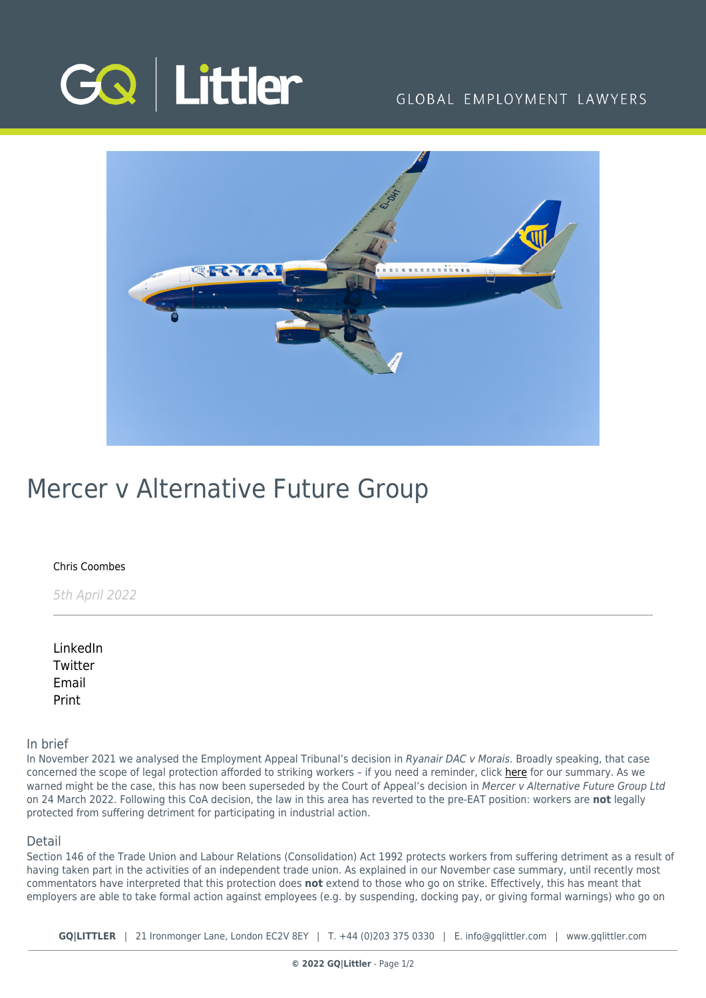

## GLOBAL EMPLOYMENT LAWYERS



# Mercer v Alternative Future Group

#### [Chris Coombes](https://www.gqlittler.com/about-us/the-team/chris-coombes)

5th April 2022

[LinkedIn](https://www.linkedin.com/shareArticle?mini=true&url=https%3A%2F%2Fwww.gqlittler.com%2Fresources%2Fnews-and-views%2Fmercer-v-alternative-future-group.htm%3Funlock%3Dtrue&title=Mercer+v+Alternative+Future+Group&summary=We+look+at+the+CoA+decision+in+Mercer+v+Alternative+Future+Group.&source=GQ+%7C+Littler) **[Twitter](https://twitter.com/share?text=Mercer+v+Alternative+Future+Group&url=https%3A%2F%2Fwww.gqlittler.com%2Fresources%2Fnews-and-views%2Fmercer-v-alternative-future-group.htm&hashtags=)** [Email](mailto:?subject=Mercer v Alternative Future Group&body=I) [Print](https://www.bg-pdf.co.uk/_GQ/page.php?M=6148523063484d364c793933643363755a33467361585230624756794c6d4e76625339795a584e7664584a6a5a584d76626d563363793168626d5174646d6c6c64334d7662575679593256794c585974595778305a584a7559585270646d55745a6e563064584a6c4c576479623356774c6d683062534e414930316c636d4e6c636942324945467364475679626d463061585a6c49455a31644856795a534248636d393163434e414932316c636d4e6c636931324c57467364475679626d463061585a6c4c575a31644856795a53316e636d393163413d3d)

### In brief

In November 2021 we analysed the Employment Appeal Tribunal's decision in Ryanair DAC v Morais. Broadly speaking, that case concerned the scope of legal protection afforded to striking workers – if you need a reminder, click [here](https://www.gqlittler.com/resources/news-and-views/protecting-striking-workers.htm) for our summary. As we warned might be the case, this has now been superseded by the Court of Appeal's decision in Mercer v Alternative Future Group Ltd on 24 March 2022. Following this CoA decision, the law in this area has reverted to the pre-EAT position: workers are **not** legally protected from suffering detriment for participating in industrial action.

#### Detail

Section 146 of the Trade Union and Labour Relations (Consolidation) Act 1992 protects workers from suffering detriment as a result of having taken part in the activities of an independent trade union. As explained in our November case summary, until recently most commentators have interpreted that this protection does **not** extend to those who go on strike. Effectively, this has meant that employers are able to take formal action against employees (e.g. by suspending, docking pay, or giving formal warnings) who go on

**GQ|LITTLER** | 21 Ironmonger Lane, London EC2V 8EY | T. [+44 \(0\)203 375 0330](https://www.bg-pdf.co.uk/_GQ/tel:+442033750330) | E. [info@gqlittler.com](mailto:info@gqlittler.com) | [www.gqlittler.com](https://www.gqlittler.com)